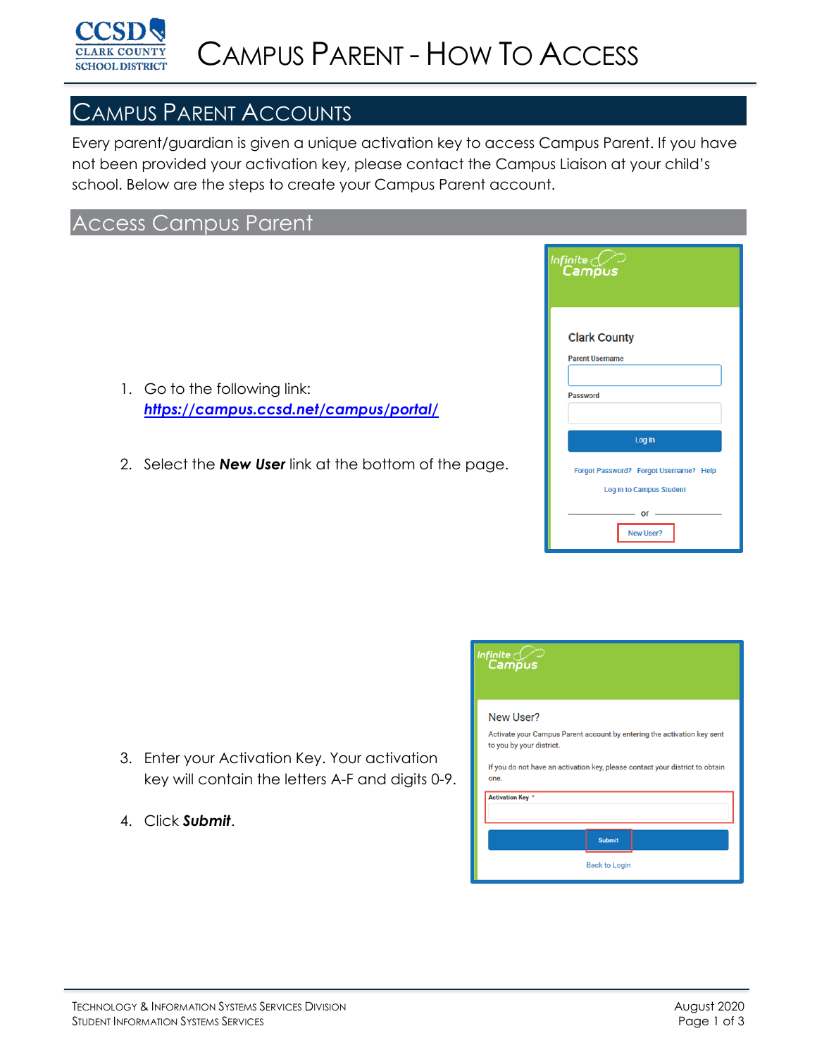

## CAMPUS PARENT ACCOUNTS

Every parent/guardian is given a unique activation key to access Campus Parent. If you have not been provided your activation key, please contact the Campus Liaison at your child's school. Below are the steps to create your Campus Parent account.

## Access Campus Parent

- 1. Go to the following link: *<https://campus.ccsd.net/campus/portal/>*
- 2. Select the *New User* link at the bottom of the page.

| Campus                                 |
|----------------------------------------|
| <b>Clark County</b>                    |
| <b>Parent Username</b>                 |
| <b>Password</b>                        |
| Log In                                 |
| Forgot Password? Forgot Username? Help |
| <b>Log In to Campus Student</b>        |
| ОΓ<br>New User?                        |

- 3. Enter your Activation Key. Your activation key will contain the letters A-F and digits 0-9.
- 4. Click *Submit*.

| Infinite $c$ (.<br>Campus                                                                                |
|----------------------------------------------------------------------------------------------------------|
| New User?<br>Activate your Campus Parent account by entering the activation key sent                     |
| to you by your district.                                                                                 |
| If you do not have an activation key, please contact your district to obtain<br>one.<br>Activation Key * |
|                                                                                                          |
| <b>Submit</b>                                                                                            |
| <b>Back to Login</b>                                                                                     |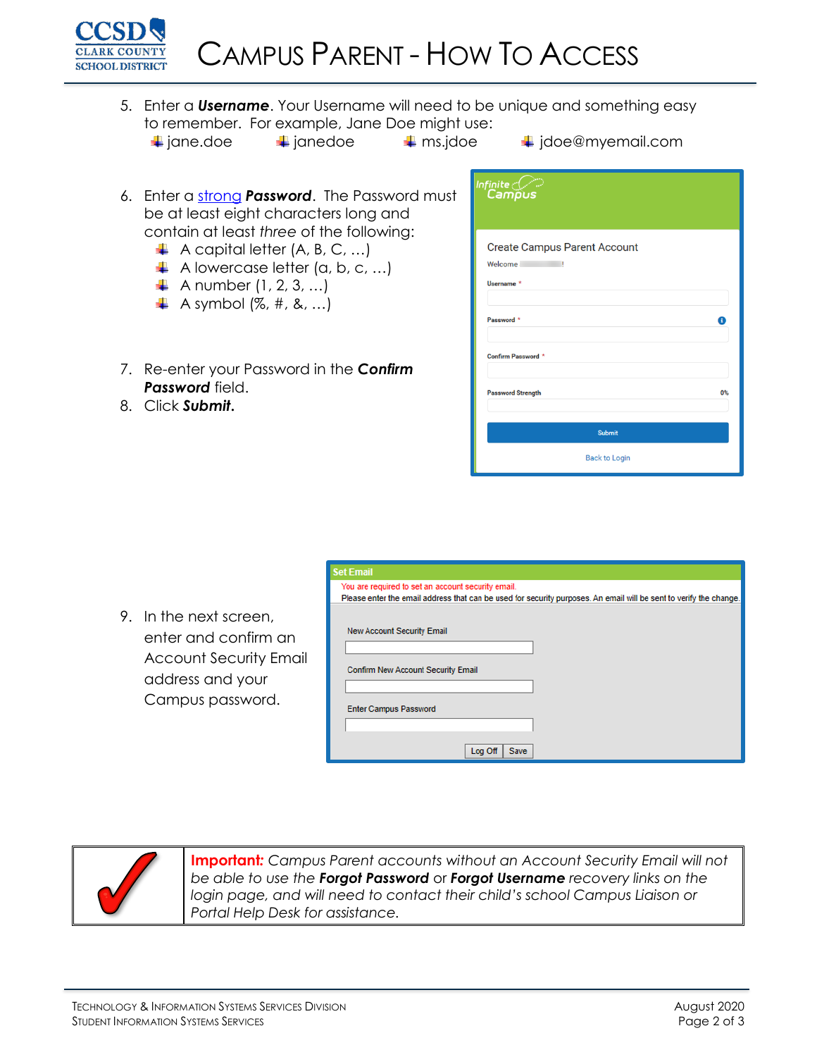

5. Enter a *Username*. Your Username will need to be unique and something easy to remember. For example, Jane Doe might use:  $\downarrow$  jane.doe  $\downarrow$  janedoe  $\downarrow$  ms.jdoe  $\downarrow$  jdoe@myemail.com

- 
- 
- 6. Enter a [strong](https://kb.infinitecampus.com/help/managing-user-account-passwords#ManagingUserAccountPasswords-1SuggestionsforCreatingaStrongPassword) *Password*. The Password must be at least eight characters long and contain at least *three* of the following:
	- $\overline{\phantom{a}}$  A capital letter (A, B, C, ...)
	- $\downarrow$  A lowercase letter (a, b, c, ...)
	- $\downarrow$  A number (1, 2, 3, ...)
	- $\downarrow$  A symbol (%, #, &, ...)
- 7. Re-enter your Password in the *Confirm Password* field.
- 8. Click *Submit***.**

| Infinite (Comp<br>Campus                                                     |    |
|------------------------------------------------------------------------------|----|
| <b>Create Campus Parent Account</b><br>Welcome<br>ı<br>Username <sup>*</sup> |    |
| Password *                                                                   | Ŧ  |
| Confirm Password *                                                           |    |
| <b>Password Strength</b>                                                     | 0% |
| <b>Submit</b>                                                                |    |
| <b>Back to Login</b>                                                         |    |

|                                                                                                                            | <b>Set Email</b>                                                                                                                                                         |
|----------------------------------------------------------------------------------------------------------------------------|--------------------------------------------------------------------------------------------------------------------------------------------------------------------------|
|                                                                                                                            | You are required to set an account security email.<br>Please enter the email address that can be used for security purposes. An email will be sent to verify the change. |
| 9.<br>In the next screen,<br>enter and confirm an<br><b>Account Security Email</b><br>address and your<br>Campus password. | <b>New Account Security Email</b><br><b>Confirm New Account Security Email</b><br><b>Enter Campus Password</b><br>Log Off<br><b>Save</b>                                 |



**Important***: Campus Parent accounts without an Account Security Email will not be able to use the Forgot Password* or *Forgot Username recovery links on the login page, and will need to contact their child's school Campus Liaison or Portal Help Desk for assistance.*